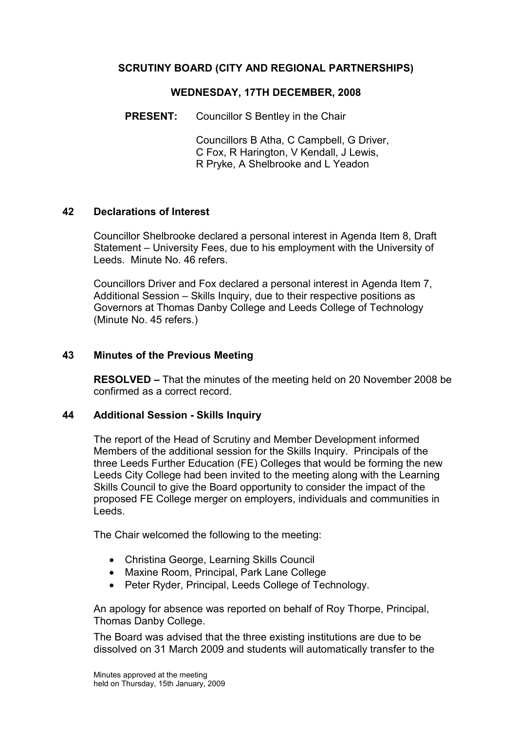## SCRUTINY BOARD (CITY AND REGIONAL PARTNERSHIPS)

#### WEDNESDAY, 17TH DECEMBER, 2008

PRESENT: Councillor S Bentley in the Chair

 Councillors B Atha, C Campbell, G Driver, C Fox, R Harington, V Kendall, J Lewis, R Pryke, A Shelbrooke and L Yeadon

### 42 Declarations of Interest

Councillor Shelbrooke declared a personal interest in Agenda Item 8, Draft Statement – University Fees, due to his employment with the University of Leeds. Minute No. 46 refers.

Councillors Driver and Fox declared a personal interest in Agenda Item 7, Additional Session – Skills Inquiry, due to their respective positions as Governors at Thomas Danby College and Leeds College of Technology (Minute No. 45 refers.)

### 43 Minutes of the Previous Meeting

RESOLVED – That the minutes of the meeting held on 20 November 2008 be confirmed as a correct record.

### 44 Additional Session - Skills Inquiry

The report of the Head of Scrutiny and Member Development informed Members of the additional session for the Skills Inquiry. Principals of the three Leeds Further Education (FE) Colleges that would be forming the new Leeds City College had been invited to the meeting along with the Learning Skills Council to give the Board opportunity to consider the impact of the proposed FE College merger on employers, individuals and communities in Leeds.

The Chair welcomed the following to the meeting:

- Christina George, Learning Skills Council
- Maxine Room, Principal, Park Lane College
- Peter Ryder, Principal, Leeds College of Technology.

An apology for absence was reported on behalf of Roy Thorpe, Principal, Thomas Danby College.

The Board was advised that the three existing institutions are due to be dissolved on 31 March 2009 and students will automatically transfer to the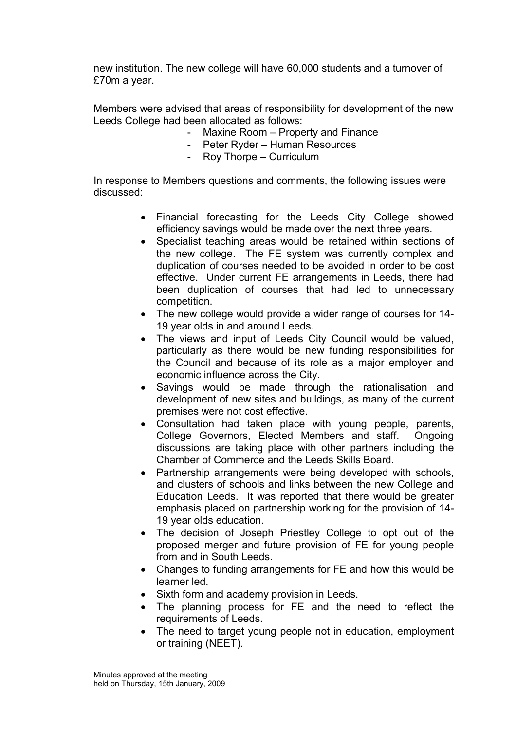new institution. The new college will have 60,000 students and a turnover of £70m a year.

Members were advised that areas of responsibility for development of the new Leeds College had been allocated as follows:

- Maxine Room Property and Finance
- Peter Ryder Human Resources
- Roy Thorpe Curriculum

In response to Members questions and comments, the following issues were discussed:

- Financial forecasting for the Leeds City College showed efficiency savings would be made over the next three years.
- Specialist teaching areas would be retained within sections of the new college. The FE system was currently complex and duplication of courses needed to be avoided in order to be cost effective. Under current FE arrangements in Leeds, there had been duplication of courses that had led to unnecessary competition.
- The new college would provide a wider range of courses for 14- 19 year olds in and around Leeds.
- The views and input of Leeds City Council would be valued, particularly as there would be new funding responsibilities for the Council and because of its role as a major employer and economic influence across the City.
- Savings would be made through the rationalisation and development of new sites and buildings, as many of the current premises were not cost effective.
- Consultation had taken place with young people, parents, College Governors, Elected Members and staff. Ongoing discussions are taking place with other partners including the Chamber of Commerce and the Leeds Skills Board.
- Partnership arrangements were being developed with schools, and clusters of schools and links between the new College and Education Leeds. It was reported that there would be greater emphasis placed on partnership working for the provision of 14- 19 year olds education.
- The decision of Joseph Priestley College to opt out of the proposed merger and future provision of FE for young people from and in South Leeds.
- Changes to funding arrangements for FE and how this would be learner led.
- Sixth form and academy provision in Leeds.
- The planning process for FE and the need to reflect the requirements of Leeds.
- The need to target young people not in education, employment or training (NEET).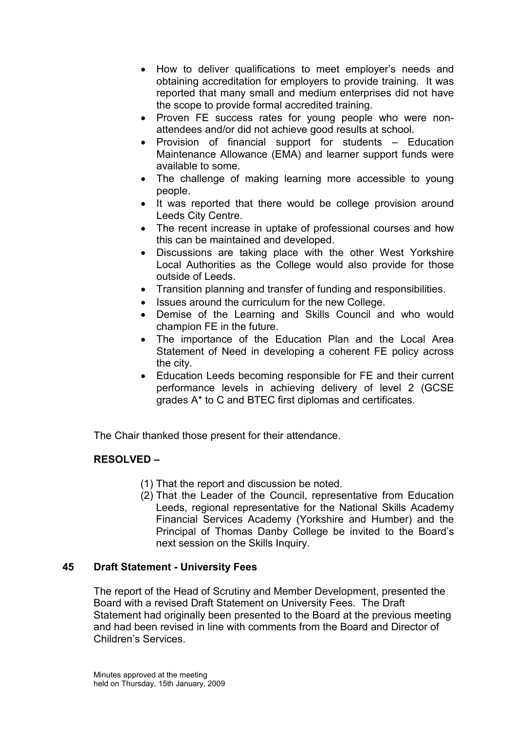- How to deliver qualifications to meet employer's needs and obtaining accreditation for employers to provide training. It was reported that many small and medium enterprises did not have the scope to provide formal accredited training.
- Proven FE success rates for young people who were nonattendees and/or did not achieve good results at school.
- Provision of financial support for students Education Maintenance Allowance (EMA) and learner support funds were available to some.
- The challenge of making learning more accessible to young people.
- It was reported that there would be college provision around Leeds City Centre.
- The recent increase in uptake of professional courses and how this can be maintained and developed.
- Discussions are taking place with the other West Yorkshire Local Authorities as the College would also provide for those outside of Leeds.
- Transition planning and transfer of funding and responsibilities.
- Issues around the curriculum for the new College.
- Demise of the Learning and Skills Council and who would champion FE in the future.
- The importance of the Education Plan and the Local Area Statement of Need in developing a coherent FE policy across the city.
- Education Leeds becoming responsible for FE and their current performance levels in achieving delivery of level 2 (GCSE grades A\* to C and BTEC first diplomas and certificates.

The Chair thanked those present for their attendance.

# RESOLVED –

- (1) That the report and discussion be noted.
- (2) That the Leader of the Council, representative from Education Leeds, regional representative for the National Skills Academy Financial Services Academy (Yorkshire and Humber) and the Principal of Thomas Danby College be invited to the Board's next session on the Skills Inquiry.

# 45 Draft Statement - University Fees

The report of the Head of Scrutiny and Member Development, presented the Board with a revised Draft Statement on University Fees. The Draft Statement had originally been presented to the Board at the previous meeting and had been revised in line with comments from the Board and Director of Children's Services.